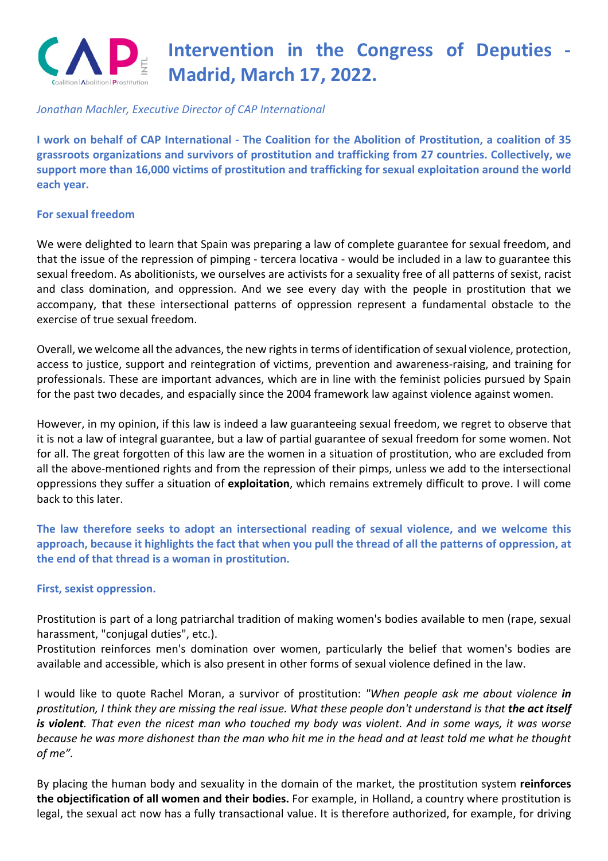

# **Intervention in the Congress of Deputies - Madrid, March 17, 2022.**

## *Jonathan Machler, Executive Director of CAP International*

**I work on behalf of CAP International - The Coalition for the Abolition of Prostitution, a coalition of 35 grassroots organizations and survivors of prostitution and trafficking from 27 countries. Collectively, we support more than 16,000 victims of prostitution and trafficking for sexual exploitation around the world each year.**

#### **For sexual freedom**

We were delighted to learn that Spain was preparing a law of complete guarantee for sexual freedom, and that the issue of the repression of pimping - tercera locativa - would be included in a law to guarantee this sexual freedom. As abolitionists, we ourselves are activists for a sexuality free of all patterns of sexist, racist and class domination, and oppression. And we see every day with the people in prostitution that we accompany, that these intersectional patterns of oppression represent a fundamental obstacle to the exercise of true sexual freedom.

Overall, we welcome all the advances, the new rights in terms of identification of sexual violence, protection, access to justice, support and reintegration of victims, prevention and awareness-raising, and training for professionals. These are important advances, which are in line with the feminist policies pursued by Spain for the past two decades, and espacially since the 2004 framework law against violence against women.

However, in my opinion, if this law is indeed a law guaranteeing sexual freedom, we regret to observe that it is not a law of integral guarantee, but a law of partial guarantee of sexual freedom for some women. Not for all. The great forgotten of this law are the women in a situation of prostitution, who are excluded from all the above-mentioned rights and from the repression of their pimps, unless we add to the intersectional oppressions they suffer a situation of **exploitation**, which remains extremely difficult to prove. I will come back to this later.

**The law therefore seeks to adopt an intersectional reading of sexual violence, and we welcome this approach, because it highlights the fact that when you pull the thread of all the patterns of oppression, at the end of that thread is a woman in prostitution.**

#### **First, sexist oppression.**

Prostitution is part of a long patriarchal tradition of making women's bodies available to men (rape, sexual harassment, "conjugal duties", etc.).

Prostitution reinforces men's domination over women, particularly the belief that women's bodies are available and accessible, which is also present in other forms of sexual violence defined in the law.

I would like to quote Rachel Moran, a survivor of prostitution: *"When people ask me about violence in prostitution, I think they are missing the real issue. What these people don't understand is that the act itself is violent. That even the nicest man who touched my body was violent. And in some ways, it was worse because he was more dishonest than the man who hit me in the head and at least told me what he thought of me".*

By placing the human body and sexuality in the domain of the market, the prostitution system **reinforces the objectification of all women and their bodies.** For example, in Holland, a country where prostitution is legal, the sexual act now has a fully transactional value. It is therefore authorized, for example, for driving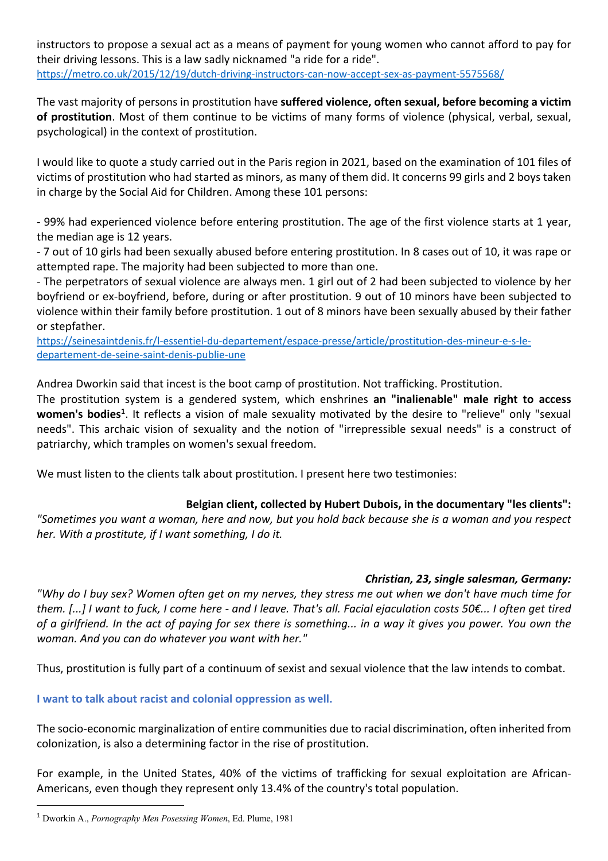instructors to propose a sexual act as a means of payment for young women who cannot afford to pay for their driving lessons. This is a law sadly nicknamed "a ride for a ride". https://metro.co.uk/2015/12/19/dutch-driving-instructors-can-now-accept-sex-as-payment-5575568/

The vast majority of persons in prostitution have **suffered violence, often sexual, before becoming a victim of prostitution**. Most of them continue to be victims of many forms of violence (physical, verbal, sexual, psychological) in the context of prostitution.

I would like to quote a study carried out in the Paris region in 2021, based on the examination of 101 files of victims of prostitution who had started as minors, as many of them did. It concerns 99 girls and 2 boys taken in charge by the Social Aid for Children. Among these 101 persons:

- 99% had experienced violence before entering prostitution. The age of the first violence starts at 1 year, the median age is 12 years.

- 7 out of 10 girls had been sexually abused before entering prostitution. In 8 cases out of 10, it was rape or attempted rape. The majority had been subjected to more than one.

- The perpetrators of sexual violence are always men. 1 girl out of 2 had been subjected to violence by her boyfriend or ex-boyfriend, before, during or after prostitution. 9 out of 10 minors have been subjected to violence within their family before prostitution. 1 out of 8 minors have been sexually abused by their father or stepfather.

https://seinesaintdenis.fr/l-essentiel-du-departement/espace-presse/article/prostitution-des-mineur-e-s-ledepartement-de-seine-saint-denis-publie-une

Andrea Dworkin said that incest is the boot camp of prostitution. Not trafficking. Prostitution.

The prostitution system is a gendered system, which enshrines **an "inalienable" male right to access**  women's bodies<sup>1</sup>. It reflects a vision of male sexuality motivated by the desire to "relieve" only "sexual needs". This archaic vision of sexuality and the notion of "irrepressible sexual needs" is a construct of patriarchy, which tramples on women's sexual freedom.

We must listen to the clients talk about prostitution. I present here two testimonies:

## **Belgian client, collected by Hubert Dubois, in the documentary "les clients":**

*"Sometimes you want a woman, here and now, but you hold back because she is a woman and you respect her. With a prostitute, if I want something, I do it.*

## *Christian, 23, single salesman, Germany:*

*"Why do I buy sex? Women often get on my nerves, they stress me out when we don't have much time for them. [...] I want to fuck, I come here - and I leave. That's all. Facial ejaculation costs 50€... I often get tired of a girlfriend. In the act of paying for sex there is something... in a way it gives you power. You own the woman. And you can do whatever you want with her."*

Thus, prostitution is fully part of a continuum of sexist and sexual violence that the law intends to combat.

**I want to talk about racist and colonial oppression as well.**

The socio-economic marginalization of entire communities due to racial discrimination, often inherited from colonization, is also a determining factor in the rise of prostitution.

For example, in the United States, 40% of the victims of trafficking for sexual exploitation are African-Americans, even though they represent only 13.4% of the country's total population.

<sup>1</sup> Dworkin A., *Pornography Men Posessing Women*, Ed. Plume, 1981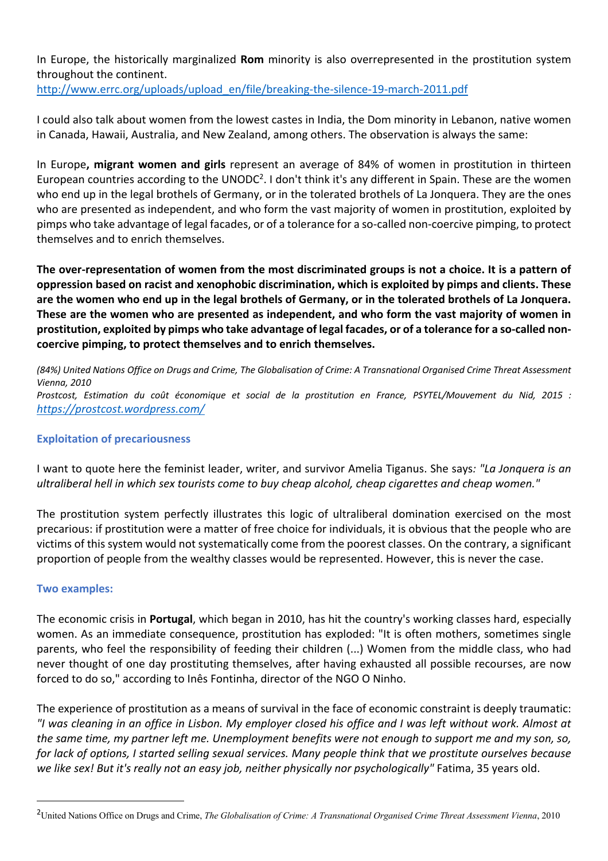In Europe, the historically marginalized **Rom** minority is also overrepresented in the prostitution system throughout the continent.

http://www.errc.org/uploads/upload\_en/file/breaking-the-silence-19-march-2011.pdf

I could also talk about women from the lowest castes in India, the Dom minority in Lebanon, native women in Canada, Hawaii, Australia, and New Zealand, among others. The observation is always the same:

In Europe**, migrant women and girls** represent an average of 84% of women in prostitution in thirteen European countries according to the UNODC<sup>2</sup>. I don't think it's any different in Spain. These are the women who end up in the legal brothels of Germany, or in the tolerated brothels of La Jonquera. They are the ones who are presented as independent, and who form the vast majority of women in prostitution, exploited by pimps who take advantage of legal facades, or of a tolerance for a so-called non-coercive pimping, to protect themselves and to enrich themselves.

**The over-representation of women from the most discriminated groups is not a choice. It is a pattern of oppression based on racist and xenophobic discrimination, which is exploited by pimps and clients. These are the women who end up in the legal brothels of Germany, or in the tolerated brothels of La Jonquera. These are the women who are presented as independent, and who form the vast majority of women in prostitution, exploited by pimps who take advantage of legal facades, or of a tolerance for a so-called noncoercive pimping, to protect themselves and to enrich themselves.**

*(84%) United Nations Office on Drugs and Crime, The Globalisation of Crime: A Transnational Organised Crime Threat Assessment Vienna, 2010 Prostcost, Estimation du coût économique et social de la prostitution en France, PSYTEL/Mouvement du Nid, 2015 : https://prostcost.wordpress.com/*

## **Exploitation of precariousness**

I want to quote here the feminist leader, writer, and survivor Amelia Tiganus. She says*: "La Jonquera is an ultraliberal hell in which sex tourists come to buy cheap alcohol, cheap cigarettes and cheap women."*

The prostitution system perfectly illustrates this logic of ultraliberal domination exercised on the most precarious: if prostitution were a matter of free choice for individuals, it is obvious that the people who are victims of this system would not systematically come from the poorest classes. On the contrary, a significant proportion of people from the wealthy classes would be represented. However, this is never the case.

### **Two examples:**

The economic crisis in **Portugal**, which began in 2010, has hit the country's working classes hard, especially women. As an immediate consequence, prostitution has exploded: "It is often mothers, sometimes single parents, who feel the responsibility of feeding their children (...) Women from the middle class, who had never thought of one day prostituting themselves, after having exhausted all possible recourses, are now forced to do so," according to Inês Fontinha, director of the NGO O Ninho.

The experience of prostitution as a means of survival in the face of economic constraint is deeply traumatic: *"I was cleaning in an office in Lisbon. My employer closed his office and I was left without work. Almost at the same time, my partner left me. Unemployment benefits were not enough to support me and my son, so, for lack of options, I started selling sexual services. Many people think that we prostitute ourselves because we like sex! But it's really not an easy job, neither physically nor psychologically"* Fatima, 35 years old.

<sup>2</sup>United Nations Office on Drugs and Crime, *The Globalisation of Crime: A Transnational Organised Crime Threat Assessment Vienna*, 2010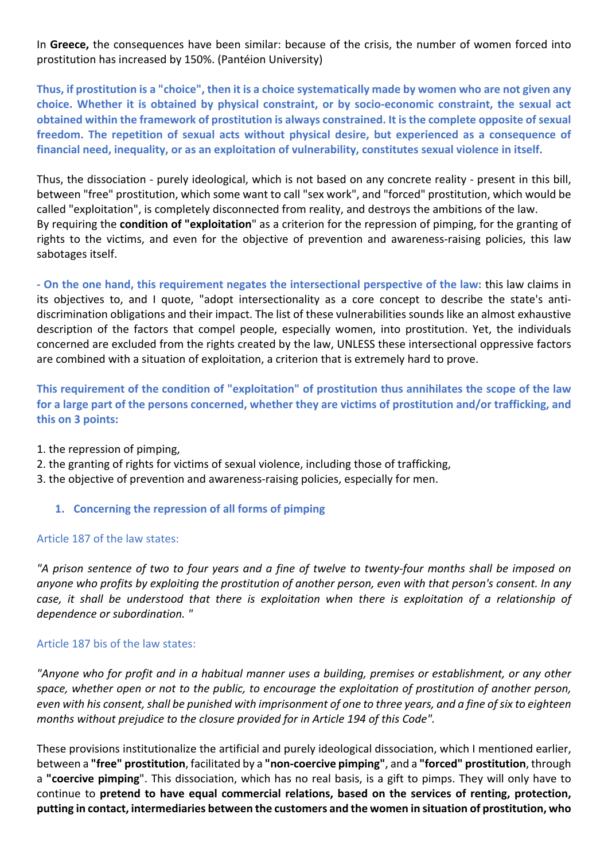In **Greece,** the consequences have been similar: because of the crisis, the number of women forced into prostitution has increased by 150%. (Pantéion University)

**Thus, if prostitution is a "choice", then it is a choice systematically made by women who are not given any choice. Whether it is obtained by physical constraint, or by socio-economic constraint, the sexual act obtained within the framework of prostitution is always constrained. It is the complete opposite of sexual freedom. The repetition of sexual acts without physical desire, but experienced as a consequence of financial need, inequality, or as an exploitation of vulnerability, constitutes sexual violence in itself.**

Thus, the dissociation - purely ideological, which is not based on any concrete reality - present in this bill, between "free" prostitution, which some want to call "sex work", and "forced" prostitution, which would be called "exploitation", is completely disconnected from reality, and destroys the ambitions of the law. By requiring the **condition of "exploitation**" as a criterion for the repression of pimping, for the granting of rights to the victims, and even for the objective of prevention and awareness-raising policies, this law sabotages itself.

**- On the one hand, this requirement negates the intersectional perspective of the law:** this law claims in its objectives to, and I quote, "adopt intersectionality as a core concept to describe the state's antidiscrimination obligations and their impact. The list of these vulnerabilities sounds like an almost exhaustive description of the factors that compel people, especially women, into prostitution. Yet, the individuals concerned are excluded from the rights created by the law, UNLESS these intersectional oppressive factors are combined with a situation of exploitation, a criterion that is extremely hard to prove.

**This requirement of the condition of "exploitation" of prostitution thus annihilates the scope of the law for a large part of the persons concerned, whether they are victims of prostitution and/or trafficking, and this on 3 points:**

- 1. the repression of pimping,
- 2. the granting of rights for victims of sexual violence, including those of trafficking,
- 3. the objective of prevention and awareness-raising policies, especially for men.
	- **1. Concerning the repression of all forms of pimping**

### Article 187 of the law states:

*"A prison sentence of two to four years and a fine of twelve to twenty-four months shall be imposed on anyone who profits by exploiting the prostitution of another person, even with that person's consent. In any case, it shall be understood that there is exploitation when there is exploitation of a relationship of dependence or subordination. "*

### Article 187 bis of the law states:

*"Anyone who for profit and in a habitual manner uses a building, premises or establishment, or any other space, whether open or not to the public, to encourage the exploitation of prostitution of another person, even with his consent, shall be punished with imprisonment of one to three years, and a fine of six to eighteen months without prejudice to the closure provided for in Article 194 of this Code".*

These provisions institutionalize the artificial and purely ideological dissociation, which I mentioned earlier, between a **"free" prostitution**, facilitated by a **"non-coercive pimping"**, and a **"forced" prostitution**, through a **"coercive pimping**". This dissociation, which has no real basis, is a gift to pimps. They will only have to continue to **pretend to have equal commercial relations, based on the services of renting, protection, putting in contact, intermediaries between the customers and the women in situation of prostitution, who**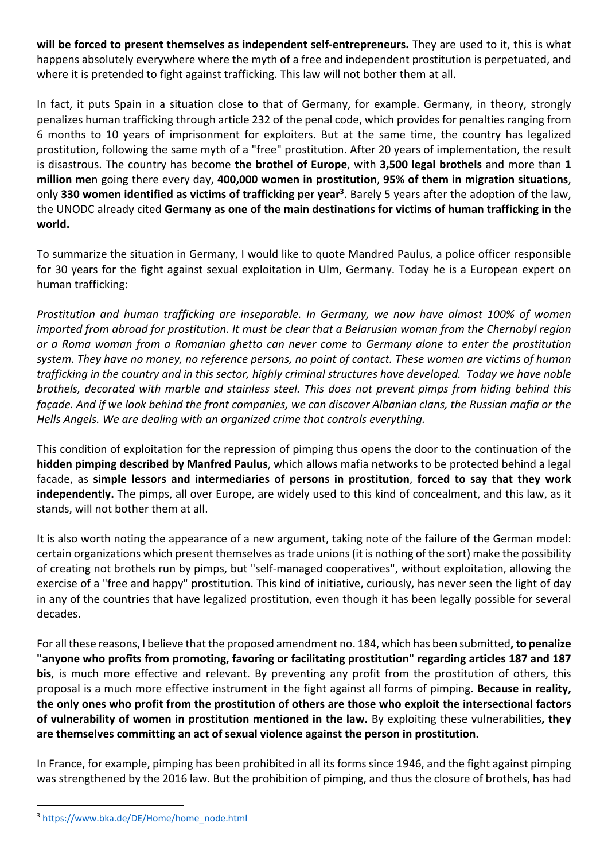**will be forced to present themselves as independent self-entrepreneurs.** They are used to it, this is what happens absolutely everywhere where the myth of a free and independent prostitution is perpetuated, and where it is pretended to fight against trafficking. This law will not bother them at all.

In fact, it puts Spain in a situation close to that of Germany, for example. Germany, in theory, strongly penalizes human trafficking through article 232 of the penal code, which provides for penalties ranging from 6 months to 10 years of imprisonment for exploiters. But at the same time, the country has legalized prostitution, following the same myth of a "free" prostitution. After 20 years of implementation, the result is disastrous. The country has become **the brothel of Europe**, with **3,500 legal brothels** and more than **1 million me**n going there every day, **400,000 women in prostitution**, **95% of them in migration situations**, only **330 women identified as victims of trafficking per year3**. Barely 5 years after the adoption of the law, the UNODC already cited **Germany as one of the main destinations for victims of human trafficking in the world.**

To summarize the situation in Germany, I would like to quote Mandred Paulus, a police officer responsible for 30 years for the fight against sexual exploitation in Ulm, Germany. Today he is a European expert on human trafficking:

*Prostitution and human trafficking are inseparable. In Germany, we now have almost 100% of women imported from abroad for prostitution. It must be clear that a Belarusian woman from the Chernobyl region or a Roma woman from a Romanian ghetto can never come to Germany alone to enter the prostitution system. They have no money, no reference persons, no point of contact. These women are victims of human trafficking in the country and in this sector, highly criminal structures have developed. Today we have noble brothels, decorated with marble and stainless steel. This does not prevent pimps from hiding behind this façade. And if we look behind the front companies, we can discover Albanian clans, the Russian mafia or the Hells Angels. We are dealing with an organized crime that controls everything.*

This condition of exploitation for the repression of pimping thus opens the door to the continuation of the **hidden pimping described by Manfred Paulus**, which allows mafia networks to be protected behind a legal facade, as **simple lessors and intermediaries of persons in prostitution**, **forced to say that they work independently.** The pimps, all over Europe, are widely used to this kind of concealment, and this law, as it stands, will not bother them at all.

It is also worth noting the appearance of a new argument, taking note of the failure of the German model: certain organizations which present themselves as trade unions (it is nothing of the sort) make the possibility of creating not brothels run by pimps, but "self-managed cooperatives", without exploitation, allowing the exercise of a "free and happy" prostitution. This kind of initiative, curiously, has never seen the light of day in any of the countries that have legalized prostitution, even though it has been legally possible for several decades.

For all these reasons, I believe that the proposed amendment no. 184, which has been submitted**, to penalize "anyone who profits from promoting, favoring or facilitating prostitution" regarding articles 187 and 187 bis**, is much more effective and relevant. By preventing any profit from the prostitution of others, this proposal is a much more effective instrument in the fight against all forms of pimping. **Because in reality, the only ones who profit from the prostitution of others are those who exploit the intersectional factors of vulnerability of women in prostitution mentioned in the law.** By exploiting these vulnerabilities**, they are themselves committing an act of sexual violence against the person in prostitution.**

In France, for example, pimping has been prohibited in all its forms since 1946, and the fight against pimping was strengthened by the 2016 law. But the prohibition of pimping, and thus the closure of brothels, has had

<sup>3</sup> https://www.bka.de/DE/Home/home\_node.html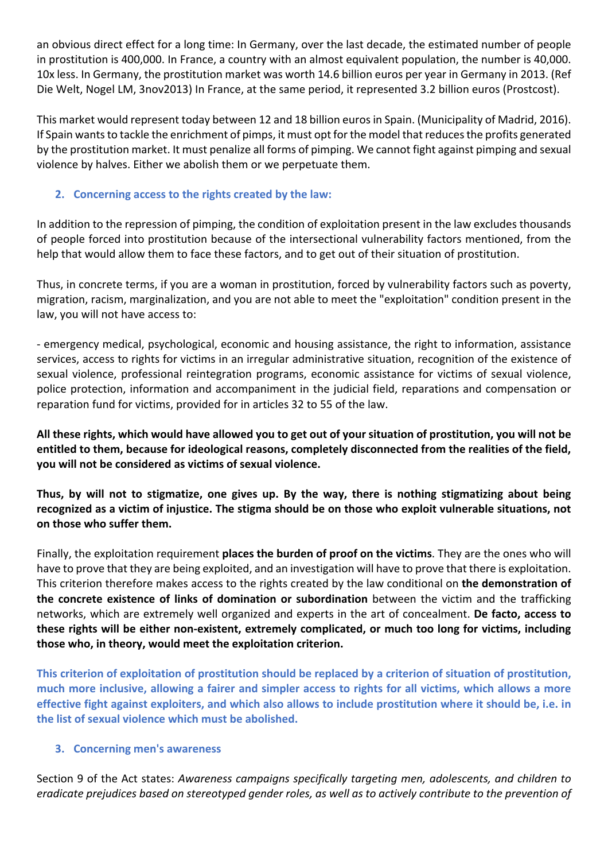an obvious direct effect for a long time: In Germany, over the last decade, the estimated number of people in prostitution is 400,000. In France, a country with an almost equivalent population, the number is 40,000. 10x less. In Germany, the prostitution market was worth 14.6 billion euros per year in Germany in 2013. (Ref Die Welt, Nogel LM, 3nov2013) In France, at the same period, it represented 3.2 billion euros (Prostcost).

This market would represent today between 12 and 18 billion euros in Spain. (Municipality of Madrid, 2016). If Spain wants to tackle the enrichment of pimps, it must opt for the model that reduces the profits generated by the prostitution market. It must penalize all forms of pimping. We cannot fight against pimping and sexual violence by halves. Either we abolish them or we perpetuate them.

## **2. Concerning access to the rights created by the law:**

In addition to the repression of pimping, the condition of exploitation present in the law excludes thousands of people forced into prostitution because of the intersectional vulnerability factors mentioned, from the help that would allow them to face these factors, and to get out of their situation of prostitution.

Thus, in concrete terms, if you are a woman in prostitution, forced by vulnerability factors such as poverty, migration, racism, marginalization, and you are not able to meet the "exploitation" condition present in the law, you will not have access to:

- emergency medical, psychological, economic and housing assistance, the right to information, assistance services, access to rights for victims in an irregular administrative situation, recognition of the existence of sexual violence, professional reintegration programs, economic assistance for victims of sexual violence, police protection, information and accompaniment in the judicial field, reparations and compensation or reparation fund for victims, provided for in articles 32 to 55 of the law.

**All these rights, which would have allowed you to get out of your situation of prostitution, you will not be entitled to them, because for ideological reasons, completely disconnected from the realities of the field, you will not be considered as victims of sexual violence.** 

**Thus, by will not to stigmatize, one gives up. By the way, there is nothing stigmatizing about being recognized as a victim of injustice. The stigma should be on those who exploit vulnerable situations, not on those who suffer them.**

Finally, the exploitation requirement **places the burden of proof on the victims**. They are the ones who will have to prove that they are being exploited, and an investigation will have to prove that there is exploitation. This criterion therefore makes access to the rights created by the law conditional on **the demonstration of the concrete existence of links of domination or subordination** between the victim and the trafficking networks, which are extremely well organized and experts in the art of concealment. **De facto, access to these rights will be either non-existent, extremely complicated, or much too long for victims, including those who, in theory, would meet the exploitation criterion.**

**This criterion of exploitation of prostitution should be replaced by a criterion of situation of prostitution, much more inclusive, allowing a fairer and simpler access to rights for all victims, which allows a more effective fight against exploiters, and which also allows to include prostitution where it should be, i.e. in the list of sexual violence which must be abolished.**

## **3. Concerning men's awareness**

Section 9 of the Act states: *Awareness campaigns specifically targeting men, adolescents, and children to eradicate prejudices based on stereotyped gender roles, as well as to actively contribute to the prevention of*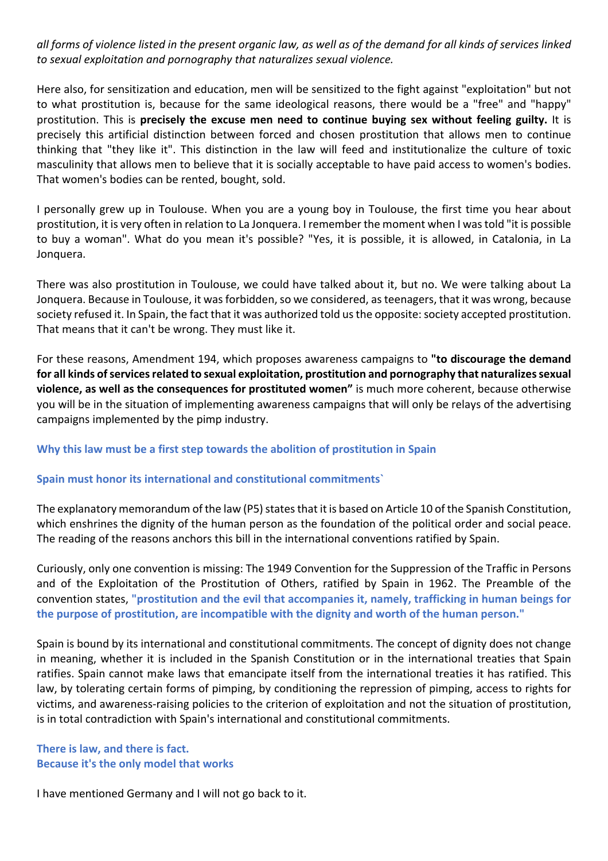*all forms of violence listed in the present organic law, as well as of the demand for all kinds of services linked to sexual exploitation and pornography that naturalizes sexual violence.*

Here also, for sensitization and education, men will be sensitized to the fight against "exploitation" but not to what prostitution is, because for the same ideological reasons, there would be a "free" and "happy" prostitution. This is **precisely the excuse men need to continue buying sex without feeling guilty.** It is precisely this artificial distinction between forced and chosen prostitution that allows men to continue thinking that "they like it". This distinction in the law will feed and institutionalize the culture of toxic masculinity that allows men to believe that it is socially acceptable to have paid access to women's bodies. That women's bodies can be rented, bought, sold.

I personally grew up in Toulouse. When you are a young boy in Toulouse, the first time you hear about prostitution, it is very often in relation to La Jonquera. I remember the moment when I was told "it is possible to buy a woman". What do you mean it's possible? "Yes, it is possible, it is allowed, in Catalonia, in La Jonquera.

There was also prostitution in Toulouse, we could have talked about it, but no. We were talking about La Jonquera. Because in Toulouse, it was forbidden, so we considered, as teenagers, that it was wrong, because society refused it. In Spain, the fact that it was authorized told us the opposite: society accepted prostitution. That means that it can't be wrong. They must like it.

For these reasons, Amendment 194, which proposes awareness campaigns to **"to discourage the demand for all kinds of services related to sexual exploitation, prostitution and pornography that naturalizes sexual violence, as well as the consequences for prostituted women"** is much more coherent, because otherwise you will be in the situation of implementing awareness campaigns that will only be relays of the advertising campaigns implemented by the pimp industry.

### **Why this law must be a first step towards the abolition of prostitution in Spain**

### **Spain must honor its international and constitutional commitments`**

The explanatory memorandum of the law (P5) states that it is based on Article 10 of the Spanish Constitution, which enshrines the dignity of the human person as the foundation of the political order and social peace. The reading of the reasons anchors this bill in the international conventions ratified by Spain.

Curiously, only one convention is missing: The 1949 Convention for the Suppression of the Traffic in Persons and of the Exploitation of the Prostitution of Others, ratified by Spain in 1962. The Preamble of the convention states, **"prostitution and the evil that accompanies it, namely, trafficking in human beings for the purpose of prostitution, are incompatible with the dignity and worth of the human person."**

Spain is bound by its international and constitutional commitments. The concept of dignity does not change in meaning, whether it is included in the Spanish Constitution or in the international treaties that Spain ratifies. Spain cannot make laws that emancipate itself from the international treaties it has ratified. This law, by tolerating certain forms of pimping, by conditioning the repression of pimping, access to rights for victims, and awareness-raising policies to the criterion of exploitation and not the situation of prostitution, is in total contradiction with Spain's international and constitutional commitments.

## **There is law, and there is fact. Because it's the only model that works**

I have mentioned Germany and I will not go back to it.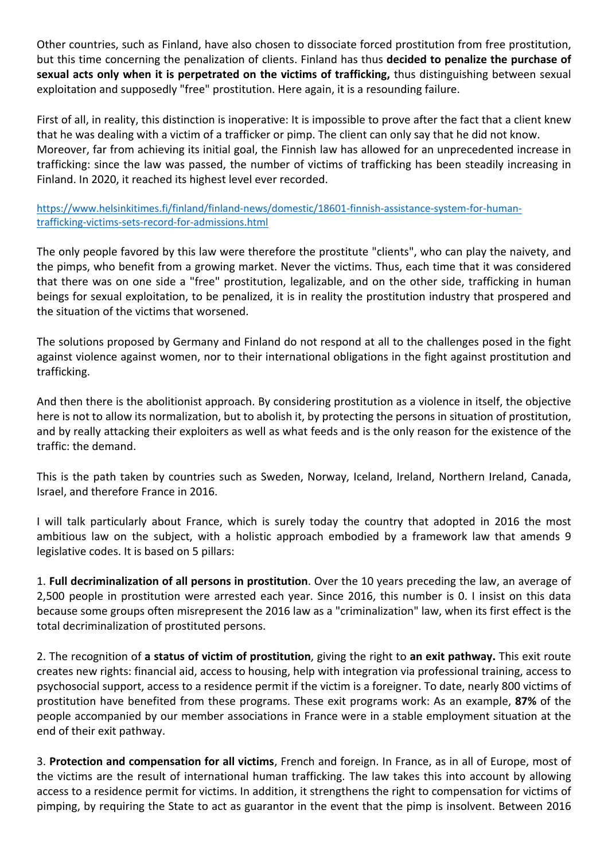Other countries, such as Finland, have also chosen to dissociate forced prostitution from free prostitution, but this time concerning the penalization of clients. Finland has thus **decided to penalize the purchase of sexual acts only when it is perpetrated on the victims of trafficking,** thus distinguishing between sexual exploitation and supposedly "free" prostitution. Here again, it is a resounding failure.

First of all, in reality, this distinction is inoperative: It is impossible to prove after the fact that a client knew that he was dealing with a victim of a trafficker or pimp. The client can only say that he did not know. Moreover, far from achieving its initial goal, the Finnish law has allowed for an unprecedented increase in trafficking: since the law was passed, the number of victims of trafficking has been steadily increasing in Finland. In 2020, it reached its highest level ever recorded.

https://www.helsinkitimes.fi/finland/finland-news/domestic/18601-finnish-assistance-system-for-humantrafficking-victims-sets-record-for-admissions.html

The only people favored by this law were therefore the prostitute "clients", who can play the naivety, and the pimps, who benefit from a growing market. Never the victims. Thus, each time that it was considered that there was on one side a "free" prostitution, legalizable, and on the other side, trafficking in human beings for sexual exploitation, to be penalized, it is in reality the prostitution industry that prospered and the situation of the victims that worsened.

The solutions proposed by Germany and Finland do not respond at all to the challenges posed in the fight against violence against women, nor to their international obligations in the fight against prostitution and trafficking.

And then there is the abolitionist approach. By considering prostitution as a violence in itself, the objective here is not to allow its normalization, but to abolish it, by protecting the persons in situation of prostitution, and by really attacking their exploiters as well as what feeds and is the only reason for the existence of the traffic: the demand.

This is the path taken by countries such as Sweden, Norway, Iceland, Ireland, Northern Ireland, Canada, Israel, and therefore France in 2016.

I will talk particularly about France, which is surely today the country that adopted in 2016 the most ambitious law on the subject, with a holistic approach embodied by a framework law that amends 9 legislative codes. It is based on 5 pillars:

1. **Full decriminalization of all persons in prostitution**. Over the 10 years preceding the law, an average of 2,500 people in prostitution were arrested each year. Since 2016, this number is 0. I insist on this data because some groups often misrepresent the 2016 law as a "criminalization" law, when its first effect is the total decriminalization of prostituted persons.

2. The recognition of **a status of victim of prostitution**, giving the right to **an exit pathway.** This exit route creates new rights: financial aid, access to housing, help with integration via professional training, access to psychosocial support, access to a residence permit if the victim is a foreigner. To date, nearly 800 victims of prostitution have benefited from these programs. These exit programs work: As an example, **87%** of the people accompanied by our member associations in France were in a stable employment situation at the end of their exit pathway.

3. **Protection and compensation for all victims**, French and foreign. In France, as in all of Europe, most of the victims are the result of international human trafficking. The law takes this into account by allowing access to a residence permit for victims. In addition, it strengthens the right to compensation for victims of pimping, by requiring the State to act as guarantor in the event that the pimp is insolvent. Between 2016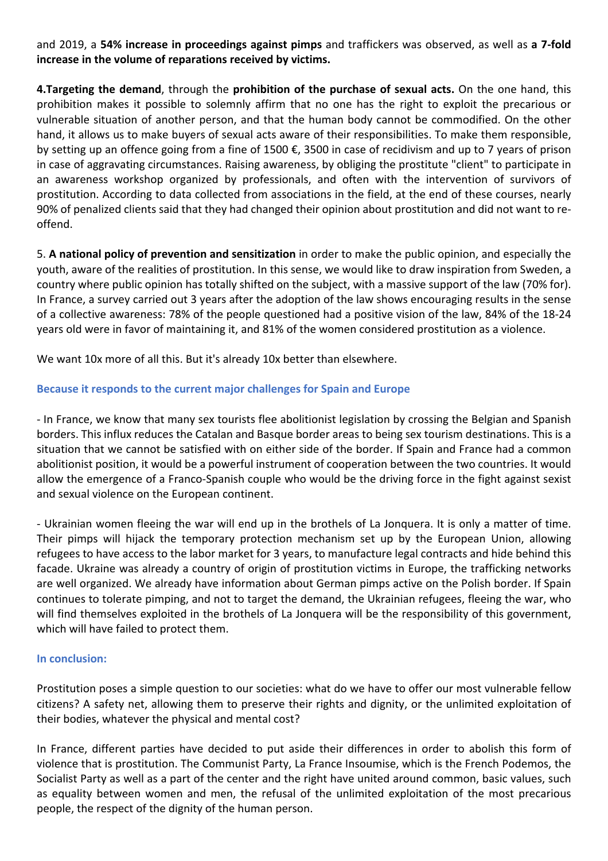and 2019, a **54% increase in proceedings against pimps** and traffickers was observed, as well as **a 7-fold increase in the volume of reparations received by victims.** 

**4.Targeting the demand**, through the **prohibition of the purchase of sexual acts.** On the one hand, this prohibition makes it possible to solemnly affirm that no one has the right to exploit the precarious or vulnerable situation of another person, and that the human body cannot be commodified. On the other hand, it allows us to make buyers of sexual acts aware of their responsibilities. To make them responsible, by setting up an offence going from a fine of 1500 €, 3500 in case of recidivism and up to 7 years of prison in case of aggravating circumstances. Raising awareness, by obliging the prostitute "client" to participate in an awareness workshop organized by professionals, and often with the intervention of survivors of prostitution. According to data collected from associations in the field, at the end of these courses, nearly 90% of penalized clients said that they had changed their opinion about prostitution and did not want to reoffend.

5. **A national policy of prevention and sensitization** in order to make the public opinion, and especially the youth, aware of the realities of prostitution. In this sense, we would like to draw inspiration from Sweden, a country where public opinion has totally shifted on the subject, with a massive support of the law (70% for). In France, a survey carried out 3 years after the adoption of the law shows encouraging results in the sense of a collective awareness: 78% of the people questioned had a positive vision of the law, 84% of the 18-24 years old were in favor of maintaining it, and 81% of the women considered prostitution as a violence.

We want 10x more of all this. But it's already 10x better than elsewhere.

## **Because it responds to the current major challenges for Spain and Europe**

- In France, we know that many sex tourists flee abolitionist legislation by crossing the Belgian and Spanish borders. This influx reduces the Catalan and Basque border areas to being sex tourism destinations. This is a situation that we cannot be satisfied with on either side of the border. If Spain and France had a common abolitionist position, it would be a powerful instrument of cooperation between the two countries. It would allow the emergence of a Franco-Spanish couple who would be the driving force in the fight against sexist and sexual violence on the European continent.

- Ukrainian women fleeing the war will end up in the brothels of La Jonquera. It is only a matter of time. Their pimps will hijack the temporary protection mechanism set up by the European Union, allowing refugees to have access to the labor market for 3 years, to manufacture legal contracts and hide behind this facade. Ukraine was already a country of origin of prostitution victims in Europe, the trafficking networks are well organized. We already have information about German pimps active on the Polish border. If Spain continues to tolerate pimping, and not to target the demand, the Ukrainian refugees, fleeing the war, who will find themselves exploited in the brothels of La Jonquera will be the responsibility of this government, which will have failed to protect them.

### **In conclusion:**

Prostitution poses a simple question to our societies: what do we have to offer our most vulnerable fellow citizens? A safety net, allowing them to preserve their rights and dignity, or the unlimited exploitation of their bodies, whatever the physical and mental cost?

In France, different parties have decided to put aside their differences in order to abolish this form of violence that is prostitution. The Communist Party, La France Insoumise, which is the French Podemos, the Socialist Party as well as a part of the center and the right have united around common, basic values, such as equality between women and men, the refusal of the unlimited exploitation of the most precarious people, the respect of the dignity of the human person.